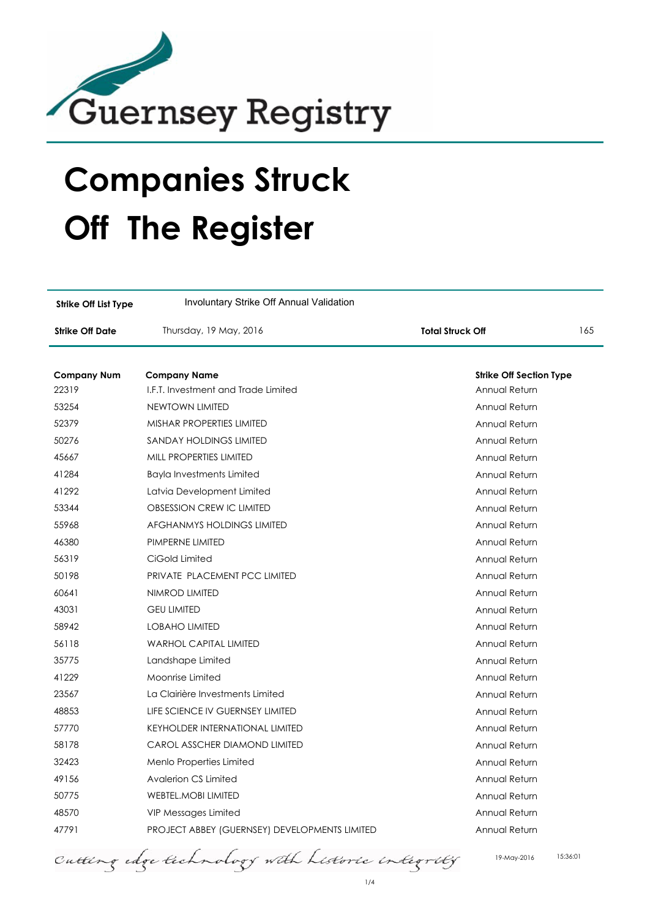

## **Companies Struck Off The Register**

| <b>Strike Off List Type</b> | Involuntary Strike Off Annual Validation             |                                |     |
|-----------------------------|------------------------------------------------------|--------------------------------|-----|
| <b>Strike Off Date</b>      | Thursday, 19 May, 2016                               | <b>Total Struck Off</b>        | 165 |
|                             |                                                      |                                |     |
| <b>Company Num</b>          | <b>Company Name</b>                                  | <b>Strike Off Section Type</b> |     |
| 22319                       | I.F.T. Investment and Trade Limited                  | Annual Return                  |     |
| 53254                       | <b>NEWTOWN LIMITED</b>                               | Annual Return                  |     |
| 52379                       | <b>MISHAR PROPERTIES LIMITED</b>                     | Annual Return                  |     |
| 50276                       | SANDAY HOLDINGS LIMITED                              | Annual Return                  |     |
| 45667                       | MILL PROPERTIES LIMITED                              | Annual Return                  |     |
| 41284                       | <b>Bayla Investments Limited</b>                     | Annual Return                  |     |
| 41292                       | Latvia Development Limited                           | Annual Return                  |     |
| 53344                       | OBSESSION CREW IC LIMITED                            | Annual Return                  |     |
| 55968                       | <b>AFGHANMYS HOLDINGS LIMITED</b>                    | Annual Return                  |     |
| 46380                       | PIMPERNE LIMITED                                     | Annual Return                  |     |
| 56319                       | CiGold Limited                                       | Annual Return                  |     |
| 50198                       | PRIVATE PLACEMENT PCC LIMITED                        | Annual Return                  |     |
| 60641                       | NIMROD LIMITED                                       | Annual Return                  |     |
| 43031                       | <b>GEU LIMITED</b>                                   | Annual Return                  |     |
| 58942                       | <b>LOBAHO LIMITED</b>                                | Annual Return                  |     |
| 56118                       | <b>WARHOL CAPITAL LIMITED</b>                        | Annual Return                  |     |
| 35775                       | Landshape Limited                                    | Annual Return                  |     |
| 41229                       | Moonrise Limited                                     | Annual Return                  |     |
| 23567                       | La Clairière Investments Limited                     | Annual Return                  |     |
| 48853                       | LIFE SCIENCE IV GUERNSEY LIMITED                     | Annual Return                  |     |
| 57770                       | <b>KEYHOLDER INTERNATIONAL LIMITED</b>               | Annual Return                  |     |
| 58178                       | CAROL ASSCHER DIAMOND LIMITED                        | Annual Return                  |     |
| 32423                       | Menlo Properties Limited                             | Annual Return                  |     |
| 49156                       | <b>Avalerion CS Limited</b>                          | Annual Return                  |     |
| 50775                       | <b>WEBTEL, MOBI LIMITED</b>                          | Annual Return                  |     |
| 48570                       | VIP Messages Limited                                 | Annual Return                  |     |
| 47791                       | <b>PROJECT ABBEY (GUERNSEY) DEVELOPMENTS LIMITED</b> | Annual Return                  |     |

Cutting edge technology with Listoric integrity

19-May-2016 15:36:01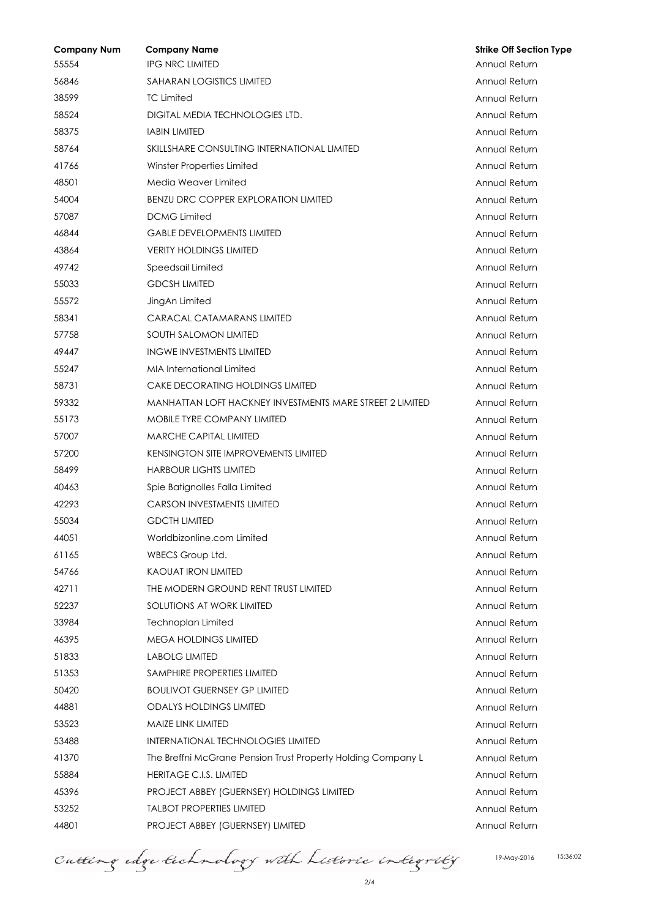| <b>Company Num</b> | <b>Company Name</b>                                          | <b>Strike Off Section Type</b> |
|--------------------|--------------------------------------------------------------|--------------------------------|
| 55554              | <b>IPG NRC LIMITED</b>                                       | Annual Return                  |
| 56846              | <b>SAHARAN LOGISTICS LIMITED</b>                             | Annual Return                  |
| 38599              | <b>TC Limited</b>                                            | Annual Return                  |
| 58524              | DIGITAL MEDIA TECHNOLOGIES LTD.                              | Annual Return                  |
| 58375              | <b>IABIN LIMITED</b>                                         | Annual Return                  |
| 58764              | SKILLSHARE CONSULTING INTERNATIONAL LIMITED                  | Annual Return                  |
| 41766              | Winster Properties Limited                                   | Annual Return                  |
| 48501              | Media Weaver Limited                                         | Annual Return                  |
| 54004              | BENZU DRC COPPER EXPLORATION LIMITED                         | Annual Return                  |
| 57087              | <b>DCMG Limited</b>                                          | Annual Return                  |
| 46844              | <b>GABLE DEVELOPMENTS LIMITED</b>                            | Annual Return                  |
| 43864              | <b>VERITY HOLDINGS LIMITED</b>                               | Annual Return                  |
| 49742              | Speedsail Limited                                            | Annual Return                  |
| 55033              | <b>GDCSH LIMITED</b>                                         | Annual Return                  |
| 55572              | JingAn Limited                                               | Annual Return                  |
| 58341              | CARACAL CATAMARANS LIMITED                                   | Annual Return                  |
| 57758              | <b>SOUTH SALOMON LIMITED</b>                                 | Annual Return                  |
| 49447              | <b>INGWE INVESTMENTS LIMITED</b>                             | Annual Return                  |
| 55247              | <b>MIA International Limited</b>                             | Annual Return                  |
| 58731              | <b>CAKE DECORATING HOLDINGS LIMITED</b>                      | Annual Return                  |
| 59332              | MANHATTAN LOFT HACKNEY INVESTMENTS MARE STREET 2 LIMITED     | Annual Return                  |
| 55173              | <b>MOBILE TYRE COMPANY LIMITED</b>                           | Annual Return                  |
| 57007              | <b>MARCHE CAPITAL LIMITED</b>                                | Annual Return                  |
| 57200              | <b>KENSINGTON SITE IMPROVEMENTS LIMITED</b>                  | Annual Return                  |
| 58499              | <b>HARBOUR LIGHTS LIMITED</b>                                | Annual Return                  |
| 40463              | Spie Batignolles Falla Limited                               | Annual Return                  |
| 42293              | <b>CARSON INVESTMENTS LIMITED</b>                            | Annual Return                  |
| 55034              | <b>GDCTH LIMITED</b>                                         | Annual Return                  |
| 44051              | Worldbizonline.com Limited                                   | Annual Return                  |
| 61165              | WBECS Group Ltd.                                             | Annual Return                  |
| 54766              | <b>KAOUAT IRON LIMITED</b>                                   | Annual Return                  |
| 42711              | THE MODERN GROUND RENT TRUST LIMITED                         | Annual Return                  |
| 52237              | SOLUTIONS AT WORK LIMITED                                    | Annual Return                  |
| 33984              | <b>Technoplan Limited</b>                                    | Annual Return                  |
| 46395              | <b>MEGA HOLDINGS LIMITED</b>                                 | Annual Return                  |
| 51833              | <b>LABOLG LIMITED</b>                                        | Annual Return                  |
| 51353              | SAMPHIRE PROPERTIES LIMITED                                  | Annual Return                  |
| 50420              | <b>BOULIVOT GUERNSEY GP LIMITED</b>                          | Annual Return                  |
| 44881              | <b>ODALYS HOLDINGS LIMITED</b>                               | Annual Return                  |
| 53523              | MAIZE LINK LIMITED                                           | Annual Return                  |
| 53488              | <b>INTERNATIONAL TECHNOLOGIES LIMITED</b>                    | Annual Return                  |
| 41370              | The Breffni McGrane Pension Trust Property Holding Company L | Annual Return                  |
| 55884              | <b>HERITAGE C.I.S. LIMITED</b>                               | Annual Return                  |
| 45396              | <b>PROJECT ABBEY (GUERNSEY) HOLDINGS LIMITED</b>             | Annual Return                  |
| 53252              | <b>TALBOT PROPERTIES LIMITED</b>                             | Annual Return                  |
| 44801              | PROJECT ABBEY (GUERNSEY) LIMITED                             | Annual Return                  |

Cutting edge technology with Listoric integrity

2/4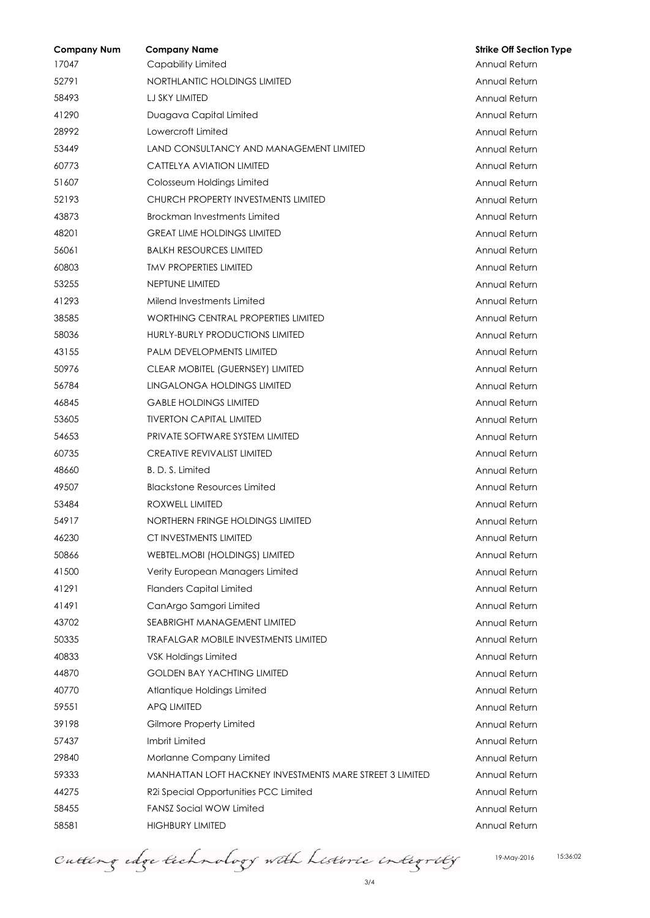| <b>Company Num</b> | <b>Company Name</b>                                      | <b>Strike Off Section Type</b> |
|--------------------|----------------------------------------------------------|--------------------------------|
| 17047              | Capability Limited                                       | Annual Return                  |
| 52791              | NORTHLANTIC HOLDINGS LIMITED                             | Annual Return                  |
| 58493              | LJ SKY LIMITED                                           | Annual Return                  |
| 41290              | Duagava Capital Limited                                  | Annual Return                  |
| 28992              | Lowercroft Limited                                       | Annual Return                  |
| 53449              | LAND CONSULTANCY AND MANAGEMENT LIMITED                  | Annual Return                  |
| 60773              | <b>CATTELYA AVIATION LIMITED</b>                         | Annual Return                  |
| 51607              | Colosseum Holdings Limited                               | Annual Return                  |
| 52193              | CHURCH PROPERTY INVESTMENTS LIMITED                      | Annual Return                  |
| 43873              | Brockman Investments Limited                             | Annual Return                  |
| 48201              | <b>GREAT LIME HOLDINGS LIMITED</b>                       | Annual Return                  |
| 56061              | <b>BALKH RESOURCES LIMITED</b>                           | Annual Return                  |
| 60803              | <b><i>IMV PROPERTIES LIMITED</i></b>                     | Annual Return                  |
| 53255              | NEPTUNE LIMITED                                          | Annual Return                  |
| 41293              | Milend Investments Limited                               | Annual Return                  |
| 38585              | WORTHING CENTRAL PROPERTIES LIMITED                      | Annual Return                  |
| 58036              | HURLY-BURLY PRODUCTIONS LIMITED                          | Annual Return                  |
| 43155              | <b>PALM DEVELOPMENTS LIMITED</b>                         | Annual Return                  |
| 50976              | <b>CLEAR MOBITEL (GUERNSEY) LIMITED</b>                  | Annual Return                  |
| 56784              | LINGALONGA HOLDINGS LIMITED                              | Annual Return                  |
| 46845              | <b>GABLE HOLDINGS LIMITED</b>                            | Annual Return                  |
| 53605              | <b>TIVERTON CAPITAL LIMITED</b>                          | Annual Return                  |
| 54653              | PRIVATE SOFTWARE SYSTEM LIMITED                          | Annual Return                  |
| 60735              | <b>CREATIVE REVIVALIST LIMITED</b>                       | Annual Return                  |
| 48660              | B. D. S. Limited                                         | Annual Return                  |
| 49507              | <b>Blackstone Resources Limited</b>                      | Annual Return                  |
| 53484              | ROXWELL LIMITED                                          | Annual Return                  |
| 54917              | NORTHERN FRINGE HOLDINGS LIMITED                         | Annual Return                  |
| 46230              | CT INVESTMENTS LIMITED                                   | Annual Return                  |
| 50866              | <b>WEBTEL.MOBI (HOLDINGS) LIMITED</b>                    | Annual Return                  |
| 41500              | Verity European Managers Limited                         | Annual Return                  |
| 41291              | <b>Flanders Capital Limited</b>                          | Annual Return                  |
| 41491              | CanArgo Samgori Limited                                  | Annual Return                  |
| 43702              | <b>SEABRIGHT MANAGEMENT LIMITED</b>                      | Annual Return                  |
| 50335              | <b>TRAFALGAR MOBILE INVESTMENTS LIMITED</b>              | Annual Return                  |
| 40833              | VSK Holdings Limited                                     | Annual Return                  |
| 44870              | <b>GOLDEN BAY YACHTING LIMITED</b>                       | Annual Return                  |
| 40770              | Atlantique Holdings Limited                              | Annual Return                  |
| 59551              | <b>APQ LIMITED</b>                                       | Annual Return                  |
| 39198              | Gilmore Property Limited                                 | Annual Return                  |
| 57437              | Imbrit Limited                                           | Annual Return                  |
| 29840              | Morlanne Company Limited                                 | Annual Return                  |
| 59333              | MANHATTAN LOFT HACKNEY INVESTMENTS MARE STREET 3 LIMITED | Annual Return                  |
| 44275              | R2i Special Opportunities PCC Limited                    | Annual Return                  |
| 58455              | <b>FANSZ Social WOW Limited</b>                          | Annual Return                  |
| 58581              | <b>HIGHBURY LIMITED</b>                                  | Annual Return                  |

Cutting edge technology with Listoric integrity